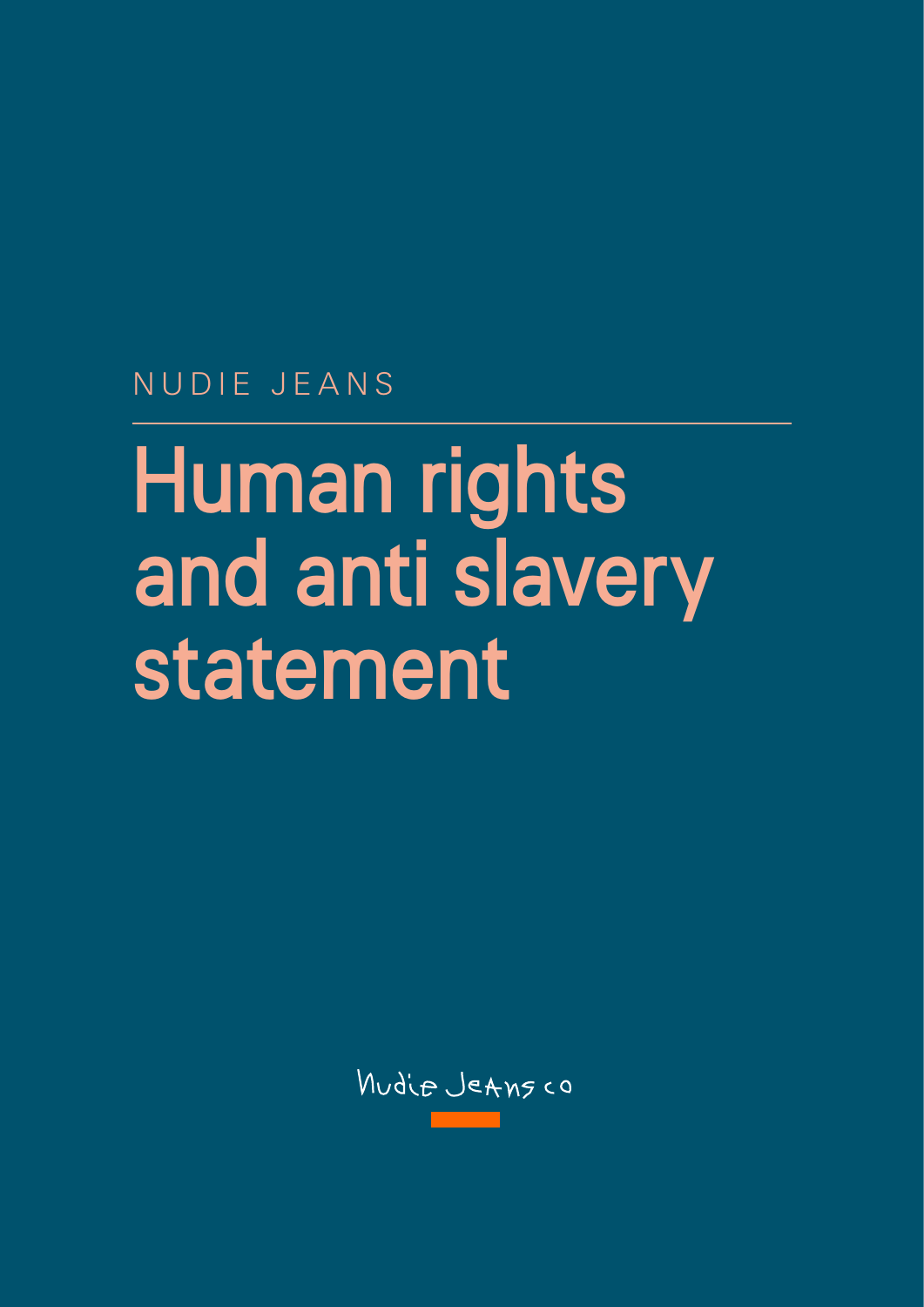NUDIE JEANS

# Human rights and anti slavery statement

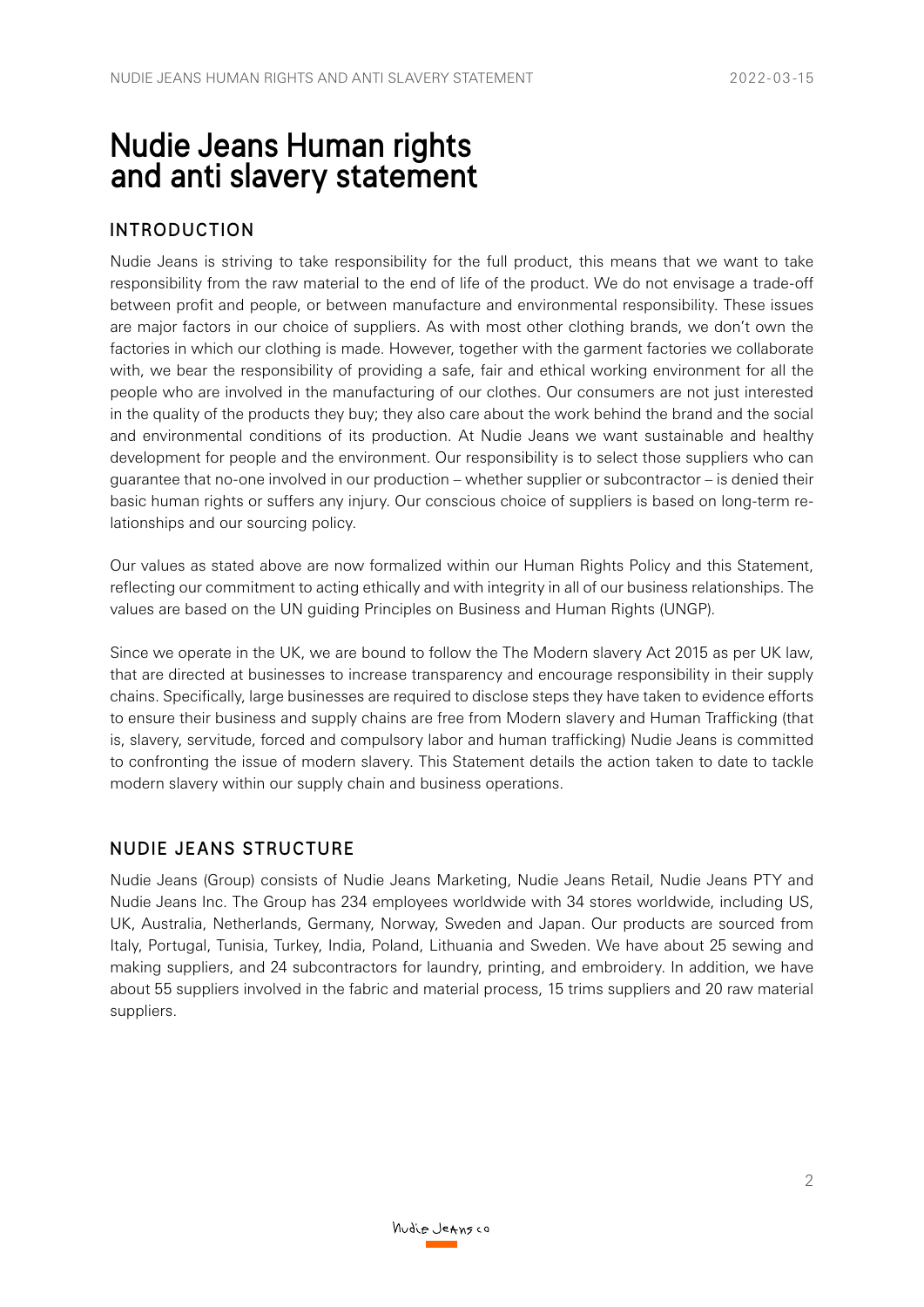## Nudie Jeans Human rights and anti slavery statement

#### INTRODUCTION

Nudie Jeans is striving to take responsibility for the full product, this means that we want to take responsibility from the raw material to the end of life of the product. We do not envisage a trade-off between profit and people, or between manufacture and environmental responsibility. These issues are major factors in our choice of suppliers. As with most other clothing brands, we don't own the factories in which our clothing is made. However, together with the garment factories we collaborate with, we bear the responsibility of providing a safe, fair and ethical working environment for all the people who are involved in the manufacturing of our clothes. Our consumers are not just interested in the quality of the products they buy; they also care about the work behind the brand and the social and environmental conditions of its production. At Nudie Jeans we want sustainable and healthy development for people and the environment. Our responsibility is to select those suppliers who can guarantee that no-one involved in our production – whether supplier or subcontractor – is denied their basic human rights or suffers any injury. Our conscious choice of suppliers is based on long-term relationships and our sourcing policy.

Our values as stated above are now formalized within our Human Rights Policy and this Statement, reflecting our commitment to acting ethically and with integrity in all of our business relationships. The values are based on the UN guiding Principles on Business and Human Rights (UNGP).

Since we operate in the UK, we are bound to follow the The Modern slavery Act 2015 as per UK law, that are directed at businesses to increase transparency and encourage responsibility in their supply chains. Specifically, large businesses are required to disclose steps they have taken to evidence efforts to ensure their business and supply chains are free from Modern slavery and Human Trafficking (that is, slavery, servitude, forced and compulsory labor and human trafficking) Nudie Jeans is committed to confronting the issue of modern slavery. This Statement details the action taken to date to tackle modern slavery within our supply chain and business operations.

#### NUDIE JEANS STRUCTURE

Nudie Jeans (Group) consists of Nudie Jeans Marketing, Nudie Jeans Retail, Nudie Jeans PTY and Nudie Jeans Inc. The Group has 234 employees worldwide with 34 stores worldwide, including US, UK, Australia, Netherlands, Germany, Norway, Sweden and Japan. Our products are sourced from Italy, Portugal, Tunisia, Turkey, India, Poland, Lithuania and Sweden. We have about 25 sewing and making suppliers, and 24 subcontractors for laundry, printing, and embroidery. In addition, we have about 55 suppliers involved in the fabric and material process, 15 trims suppliers and 20 raw material suppliers.

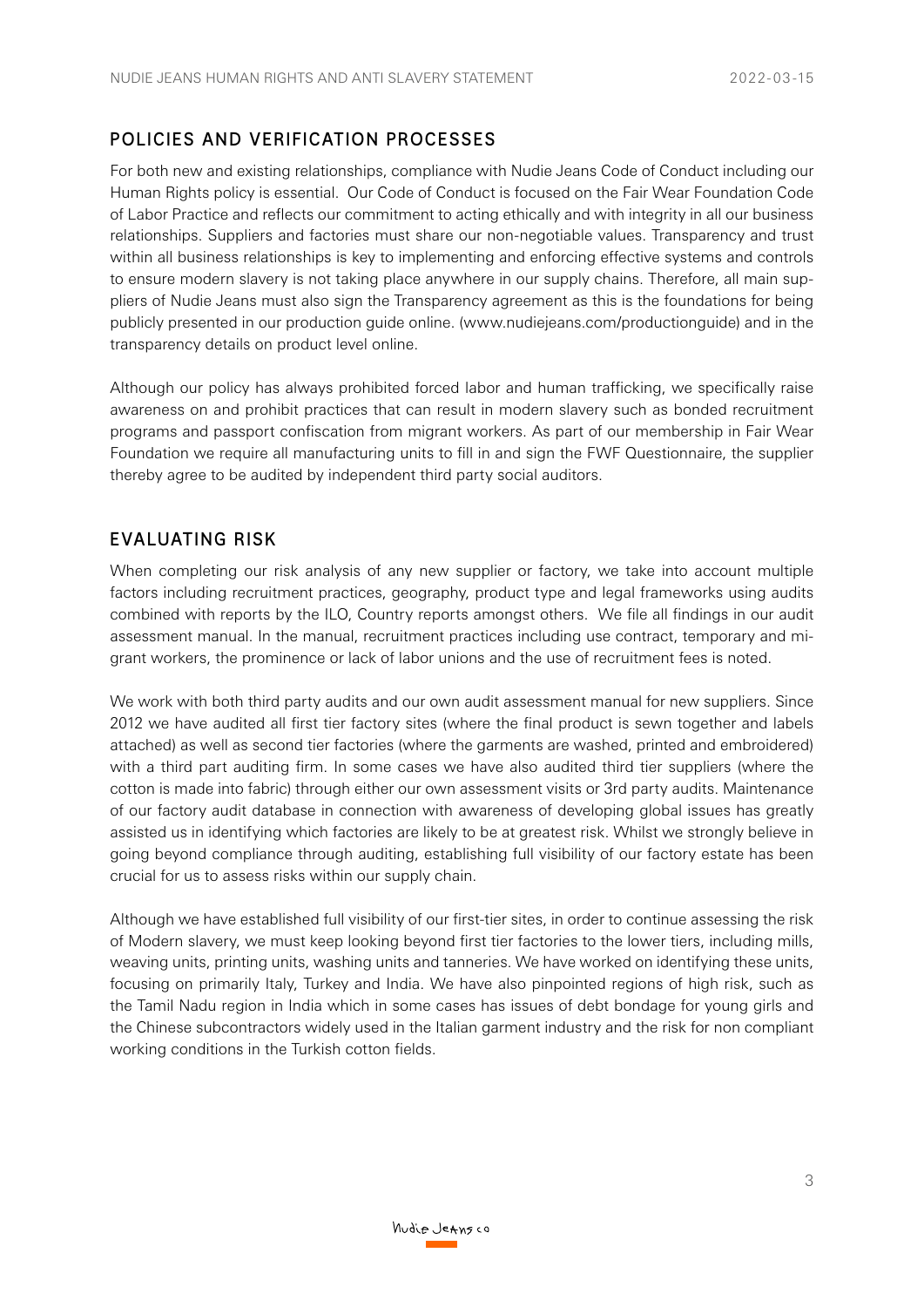### POLICIES AND VERIFICATION PROCESSES

For both new and existing relationships, compliance with Nudie Jeans Code of Conduct including our Human Rights policy is essential. Our Code of Conduct is focused on the Fair Wear Foundation Code of Labor Practice and reflects our commitment to acting ethically and with integrity in all our business relationships. Suppliers and factories must share our non-negotiable values. Transparency and trust within all business relationships is key to implementing and enforcing effective systems and controls to ensure modern slavery is not taking place anywhere in our supply chains. Therefore, all main suppliers of Nudie Jeans must also sign the Transparency agreement as this is the foundations for being publicly presented in our production guide online. (www.nudiejeans.com/productionguide) and in the transparency details on product level online.

Although our policy has always prohibited forced labor and human trafficking, we specifically raise awareness on and prohibit practices that can result in modern slavery such as bonded recruitment programs and passport confiscation from migrant workers. As part of our membership in Fair Wear Foundation we require all manufacturing units to fill in and sign the FWF Questionnaire, the supplier thereby agree to be audited by independent third party social auditors.

#### EVALUATING RISK

When completing our risk analysis of any new supplier or factory, we take into account multiple factors including recruitment practices, geography, product type and legal frameworks using audits combined with reports by the ILO, Country reports amongst others. We file all findings in our audit assessment manual. In the manual, recruitment practices including use contract, temporary and migrant workers, the prominence or lack of labor unions and the use of recruitment fees is noted.

We work with both third party audits and our own audit assessment manual for new suppliers. Since 2012 we have audited all first tier factory sites (where the final product is sewn together and labels attached) as well as second tier factories (where the garments are washed, printed and embroidered) with a third part auditing firm. In some cases we have also audited third tier suppliers (where the cotton is made into fabric) through either our own assessment visits or 3rd party audits. Maintenance of our factory audit database in connection with awareness of developing global issues has greatly assisted us in identifying which factories are likely to be at greatest risk. Whilst we strongly believe in going beyond compliance through auditing, establishing full visibility of our factory estate has been crucial for us to assess risks within our supply chain.

Although we have established full visibility of our first-tier sites, in order to continue assessing the risk of Modern slavery, we must keep looking beyond first tier factories to the lower tiers, including mills, weaving units, printing units, washing units and tanneries. We have worked on identifying these units, focusing on primarily Italy, Turkey and India. We have also pinpointed regions of high risk, such as the Tamil Nadu region in India which in some cases has issues of debt bondage for young girls and the Chinese subcontractors widely used in the Italian garment industry and the risk for non compliant working conditions in the Turkish cotton fields.

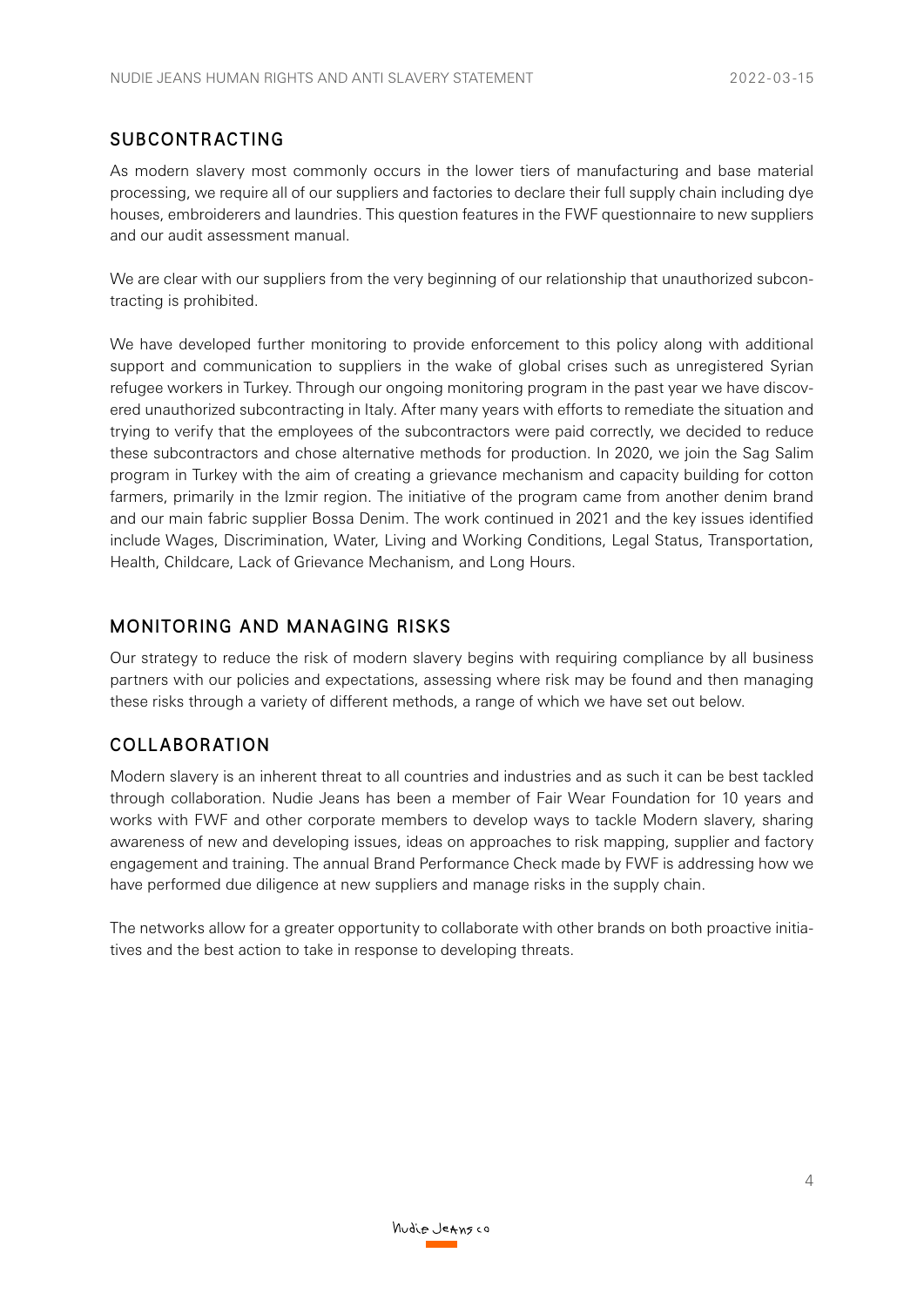#### SUBCONTRACTING

As modern slavery most commonly occurs in the lower tiers of manufacturing and base material processing, we require all of our suppliers and factories to declare their full supply chain including dye houses, embroiderers and laundries. This question features in the FWF questionnaire to new suppliers and our audit assessment manual.

We are clear with our suppliers from the very beginning of our relationship that unauthorized subcontracting is prohibited.

We have developed further monitoring to provide enforcement to this policy along with additional support and communication to suppliers in the wake of global crises such as unregistered Syrian refugee workers in Turkey. Through our ongoing monitoring program in the past year we have discovered unauthorized subcontracting in Italy. After many years with efforts to remediate the situation and trying to verify that the employees of the subcontractors were paid correctly, we decided to reduce these subcontractors and chose alternative methods for production. In 2020, we join the Sag Salim program in Turkey with the aim of creating a grievance mechanism and capacity building for cotton farmers, primarily in the Izmir region. The initiative of the program came from another denim brand and our main fabric supplier Bossa Denim. The work continued in 2021 and the key issues identified include Wages, Discrimination, Water, Living and Working Conditions, Legal Status, Transportation, Health, Childcare, Lack of Grievance Mechanism, and Long Hours.

#### MONITORING AND MANAGING RISKS

Our strategy to reduce the risk of modern slavery begins with requiring compliance by all business partners with our policies and expectations, assessing where risk may be found and then managing these risks through a variety of different methods, a range of which we have set out below.

#### COLLABORATION

Modern slavery is an inherent threat to all countries and industries and as such it can be best tackled through collaboration. Nudie Jeans has been a member of Fair Wear Foundation for 10 years and works with FWF and other corporate members to develop ways to tackle Modern slavery, sharing awareness of new and developing issues, ideas on approaches to risk mapping, supplier and factory engagement and training. The annual Brand Performance Check made by FWF is addressing how we have performed due diligence at new suppliers and manage risks in the supply chain.

The networks allow for a greater opportunity to collaborate with other brands on both proactive initiatives and the best action to take in response to developing threats.

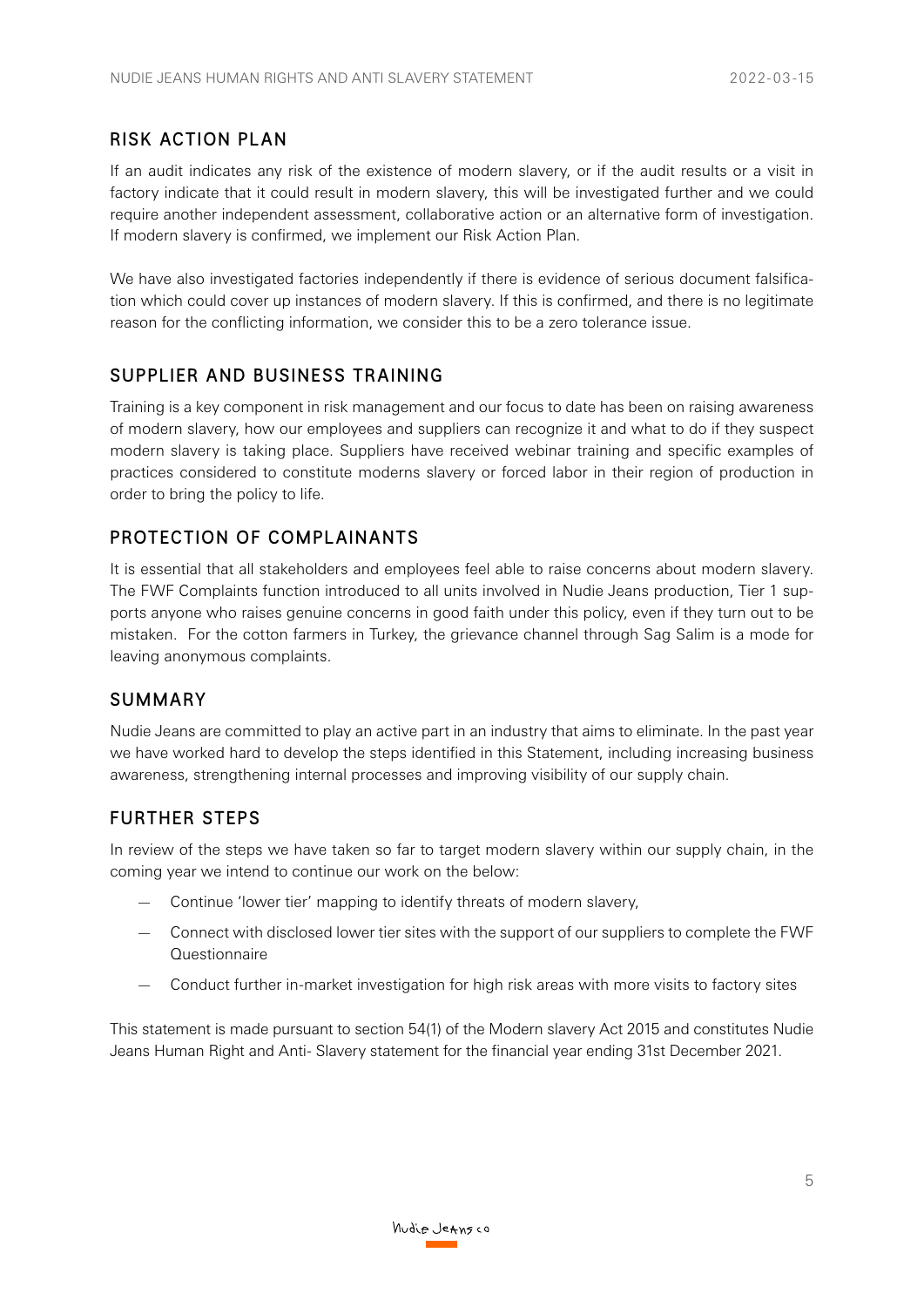#### RISK ACTION PLAN

If an audit indicates any risk of the existence of modern slavery, or if the audit results or a visit in factory indicate that it could result in modern slavery, this will be investigated further and we could require another independent assessment, collaborative action or an alternative form of investigation. If modern slavery is confirmed, we implement our Risk Action Plan.

We have also investigated factories independently if there is evidence of serious document falsification which could cover up instances of modern slavery. If this is confirmed, and there is no legitimate reason for the conflicting information, we consider this to be a zero tolerance issue.

#### SUPPLIER AND BUSINESS TRAINING

Training is a key component in risk management and our focus to date has been on raising awareness of modern slavery, how our employees and suppliers can recognize it and what to do if they suspect modern slavery is taking place. Suppliers have received webinar training and specific examples of practices considered to constitute moderns slavery or forced labor in their region of production in order to bring the policy to life.

#### PROTECTION OF COMPLAINANTS

It is essential that all stakeholders and employees feel able to raise concerns about modern slavery. The FWF Complaints function introduced to all units involved in Nudie Jeans production, Tier 1 supports anyone who raises genuine concerns in good faith under this policy, even if they turn out to be mistaken. For the cotton farmers in Turkey, the grievance channel through Sag Salim is a mode for leaving anonymous complaints.

#### SUMMARY

Nudie Jeans are committed to play an active part in an industry that aims to eliminate. In the past year we have worked hard to develop the steps identified in this Statement, including increasing business awareness, strengthening internal processes and improving visibility of our supply chain.

#### FURTHER STEPS

In review of the steps we have taken so far to target modern slavery within our supply chain, in the coming year we intend to continue our work on the below:

- Continue 'lower tier' mapping to identify threats of modern slavery,
- Connect with disclosed lower tier sites with the support of our suppliers to complete the FWF **Questionnaire**
- Conduct further in-market investigation for high risk areas with more visits to factory sites

This statement is made pursuant to section 54(1) of the Modern slavery Act 2015 and constitutes Nudie Jeans Human Right and Anti- Slavery statement for the financial year ending 31st December 2021.